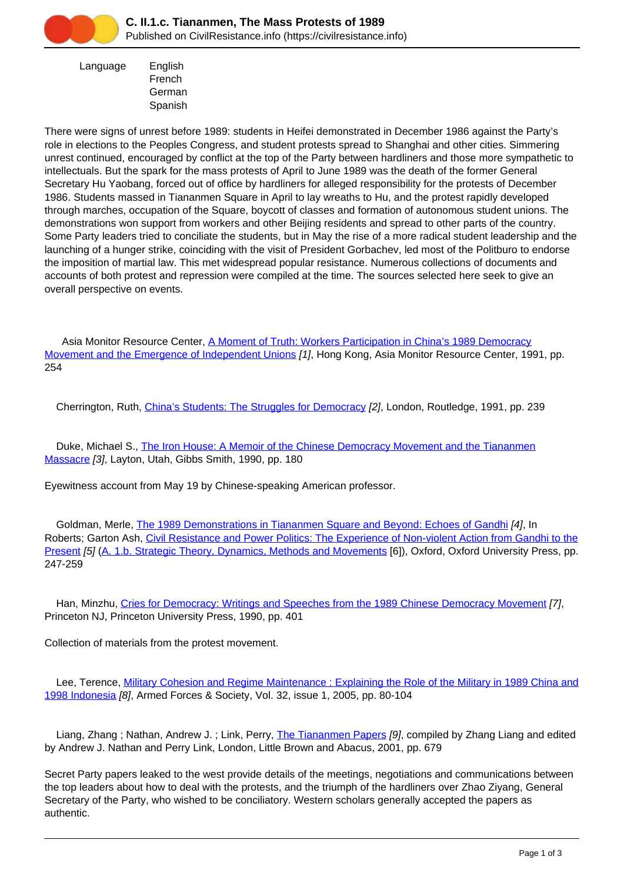

 Language English French German Spanish

There were signs of unrest before 1989: students in Heifei demonstrated in December 1986 against the Party's role in elections to the Peoples Congress, and student protests spread to Shanghai and other cities. Simmering unrest continued, encouraged by conflict at the top of the Party between hardliners and those more sympathetic to intellectuals. But the spark for the mass protests of April to June 1989 was the death of the former General Secretary Hu Yaobang, forced out of office by hardliners for alleged responsibility for the protests of December 1986. Students massed in Tiananmen Square in April to lay wreaths to Hu, and the protest rapidly developed through marches, occupation of the Square, boycott of classes and formation of autonomous student unions. The demonstrations won support from workers and other Beijing residents and spread to other parts of the country. Some Party leaders tried to conciliate the students, but in May the rise of a more radical student leadership and the launching of a hunger strike, coinciding with the visit of President Gorbachev, led most of the Politburo to endorse the imposition of martial law. This met widespread popular resistance. Numerous collections of documents and accounts of both protest and repression were compiled at the time. The sources selected here seek to give an overall perspective on events.

 Asia Monitor Resource Center, [A Moment of Truth: Workers Participation in China's 1989 Democracy](https://civilresistance.info/biblio-item/1991/moment-truth-workers-participation-chinas-1989-democracy-movement-and-emergence) [Movement and the Emergence of Independent Unions](https://civilresistance.info/biblio-item/1991/moment-truth-workers-participation-chinas-1989-democracy-movement-and-emergence) [1], Hong Kong, Asia Monitor Resource Center, 1991, pp. 254

Cherrington, Ruth, *China's Students: The Struggles for Democracy [2]*, London, Routledge, 1991, pp. 239

Duke, Michael S., [The Iron House: A Memoir of the Chinese Democracy Movement and the Tiananmen](https://civilresistance.info/biblio-item/1990/iron-house-memoir-chinese-democracy-movement-and-tiananmen-massacre) [Massacre](https://civilresistance.info/biblio-item/1990/iron-house-memoir-chinese-democracy-movement-and-tiananmen-massacre) [3], Layton, Utah, Gibbs Smith, 1990, pp. 180

Eyewitness account from May 19 by Chinese-speaking American professor.

Goldman, Merle, [The 1989 Demonstrations in Tiananmen Square and Beyond: Echoes of Gandhi](https://civilresistance.info/biblio-item/2009/1989-demonstrations-tiananmen-square-and-beyond-echoes-gandhi) [4], In Roberts; Garton Ash, [Civil Resistance and Power Politics: The Experience of Non-violent Action from Gandhi to the](https://civilresistance.info/biblio-item/2009/civil-resistance-and-power-politics-experience-non-violent-action-gandhi-present) [Present](https://civilresistance.info/biblio-item/2009/civil-resistance-and-power-politics-experience-non-violent-action-gandhi-present) [5] ([A. 1.b. Strategic Theory, Dynamics, Methods and Movements](https://civilresistance.info/section/introduction-nonviolent-action/1-theory-methods-and-examples/1b-strategic-theory-dynamics) [6]), Oxford, Oxford University Press, pp. 247-259

 Han, Minzhu, [Cries for Democracy: Writings and Speeches from the 1989 Chinese Democracy Movement](https://civilresistance.info/biblio-item/1990/cries-democracy-writings-and-speeches-1989-chinese-democracy-movement) [7], Princeton NJ, Princeton University Press, 1990, pp. 401

Collection of materials from the protest movement.

 Lee, Terence, [Military Cohesion and Regime Maintenance : Explaining the Role of the Military in 1989 China and](https://civilresistance.info/biblio-item/2005/military-cohesion-and-regime-maintenance-explaining-role-military-1989-china-and) [1998 Indonesia](https://civilresistance.info/biblio-item/2005/military-cohesion-and-regime-maintenance-explaining-role-military-1989-china-and) [8], Armed Forces & Society, Vol. 32, issue 1, 2005, pp. 80-104

Liang, Zhang ; Nathan, Andrew J. ; Link, Perry, [The Tiananmen Papers](https://civilresistance.info/biblio-item/2001/tiananmen-papers) [9], compiled by Zhang Liang and edited by Andrew J. Nathan and Perry Link, London, Little Brown and Abacus, 2001, pp. 679

Secret Party papers leaked to the west provide details of the meetings, negotiations and communications between the top leaders about how to deal with the protests, and the triumph of the hardliners over Zhao Ziyang, General Secretary of the Party, who wished to be conciliatory. Western scholars generally accepted the papers as authentic.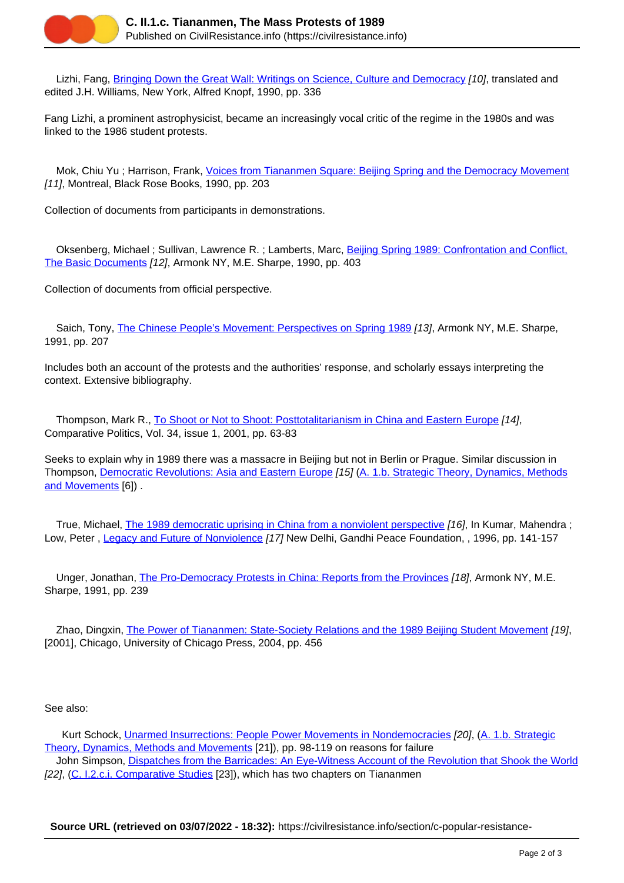

Lizhi, Fang, [Bringing Down the Great Wall: Writings on Science, Culture and Democracy](https://civilresistance.info/biblio-item/1990/bringing-down-great-wall-writings-science-culture-and-democracy) [10], translated and edited J.H. Williams, New York, Alfred Knopf, 1990, pp. 336

Fang Lizhi, a prominent astrophysicist, became an increasingly vocal critic of the regime in the 1980s and was linked to the 1986 student protests.

Mok, Chiu Yu ; Harrison, Frank, [Voices from Tiananmen Square: Beijing Spring and the Democracy Movement](https://civilresistance.info/biblio-item/1990/voices-tiananmen-square-beijing-spring-and-democracy-movement) [11], Montreal, Black Rose Books, 1990, pp. 203

Collection of documents from participants in demonstrations.

 Oksenberg, Michael ; Sullivan, Lawrence R. ; Lamberts, Marc, [Beijing Spring 1989: Confrontation and Conflict,](https://civilresistance.info/biblio-item/1990/beijing-spring-1989-confrontation-and-conflict-basic-documents) [The Basic Documents](https://civilresistance.info/biblio-item/1990/beijing-spring-1989-confrontation-and-conflict-basic-documents) [12], Armonk NY, M.E. Sharpe, 1990, pp. 403

Collection of documents from official perspective.

Saich, Tony, [The Chinese People's Movement: Perspectives on Spring 1989](https://civilresistance.info/biblio-item/1991/chinese-peoples-movement-perspectives-spring-1989) [13], Armonk NY, M.E. Sharpe, 1991, pp. 207

Includes both an account of the protests and the authorities' response, and scholarly essays interpreting the context. Extensive bibliography.

 Thompson, Mark R., [To Shoot or Not to Shoot: Posttotalitarianism in China and Eastern Europe](https://civilresistance.info/biblio-item/2001/shoot-or-not-shoot-posttotalitarianism-china-and-eastern-europe) [14], Comparative Politics, Vol. 34, issue 1, 2001, pp. 63-83

Seeks to explain why in 1989 there was a massacre in Beijing but not in Berlin or Prague. Similar discussion in Thompson, [Democratic Revolutions: Asia and Eastern Europe](https://civilresistance.info/biblio-item/2004/democratic-revolutions-asia-and-eastern-europe) [15] [\(A. 1.b. Strategic Theory, Dynamics, Methods](https://civilresistance.info/section/introduction-nonviolent-action/1-theory-methods-and-examples/1b-strategic-theory-dynamics) [and Movements](https://civilresistance.info/section/introduction-nonviolent-action/1-theory-methods-and-examples/1b-strategic-theory-dynamics) [6]) .

True, Michael, [The 1989 democratic uprising in China from a nonviolent perspective](https://civilresistance.info/biblio-item/1996/1989-democratic-uprising-china-nonviolent-perspective) [16], In Kumar, Mahendra; Low, Peter , [Legacy and Future of Nonviolence](https://civilresistance.info/biblio-item/1996/legacy-and-future-nonviolence) [17] New Delhi, Gandhi Peace Foundation, , 1996, pp. 141-157

Unger, Jonathan, [The Pro-Democracy Protests in China: Reports from the Provinces](https://civilresistance.info/biblio-item/1991/pro-democracy-protests-china-reports-provinces) [18], Armonk NY, M.E. Sharpe, 1991, pp. 239

 Zhao, Dingxin, [The Power of Tiananmen: State-Society Relations and the 1989 Beijing Student Movement](https://civilresistance.info/biblio-item/2004/power-tiananmen-state-society-relations-and-1989-beijing-student-movement) [19], [2001], Chicago, University of Chicago Press, 2004, pp. 456

See also:

Kurt Schock, [Unarmed Insurrections: People Power Movements in Nondemocracies](https://civilresistance.info/biblio-item/2005/unarmed-insurrections-people-power-movements-nondemocracies) [20], (A. 1.b. Strategic Theory, Dynamics, Methods and Movements [21]), pp. 98-119 on reasons for failure John Simpson, [Dispatches from the Barricades: An Eye-Witness Account of the Revolution that Shook the World](https://civilresistance.info/biblio-item/1990/dispatches-barricades-eye-witness-account-revolution-shook-world) [22], (C. I.2.c.i. Comparative Studies [23]), which has two chapters on Tiananmen

**Source URL (retrieved on 03/07/2022 - 18:32):** https://civilresistance.info/section/c-popular-resistance-